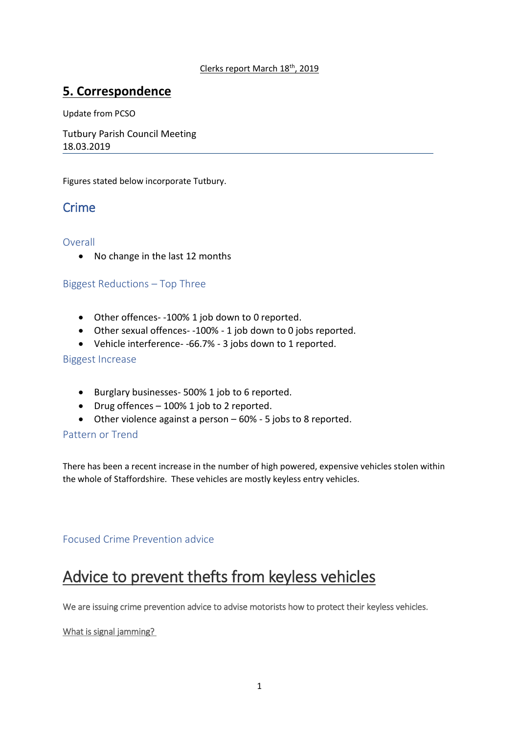# **5. Correspondence**

Update from PCSO

Tutbury Parish Council Meeting 18.03.2019

Figures stated below incorporate Tutbury.

# **Crime**

# Overall

• No change in the last 12 months

# Biggest Reductions – Top Three

- Other offences- -100% 1 job down to 0 reported.
- Other sexual offences- -100% 1 job down to 0 jobs reported.
- Vehicle interference- -66.7% 3 jobs down to 1 reported.

## Biggest Increase

- Burglary businesses- 500% 1 job to 6 reported.
- Drug offences 100% 1 job to 2 reported.
- Other violence against a person 60% 5 jobs to 8 reported.

# Pattern or Trend

There has been a recent increase in the number of high powered, expensive vehicles stolen within the whole of Staffordshire. These vehicles are mostly keyless entry vehicles.

# Focused Crime Prevention advice

# Advice to prevent thefts from keyless vehicles

We are issuing crime prevention advice to advise motorists how to protect their keyless vehicles.

## What is signal jamming?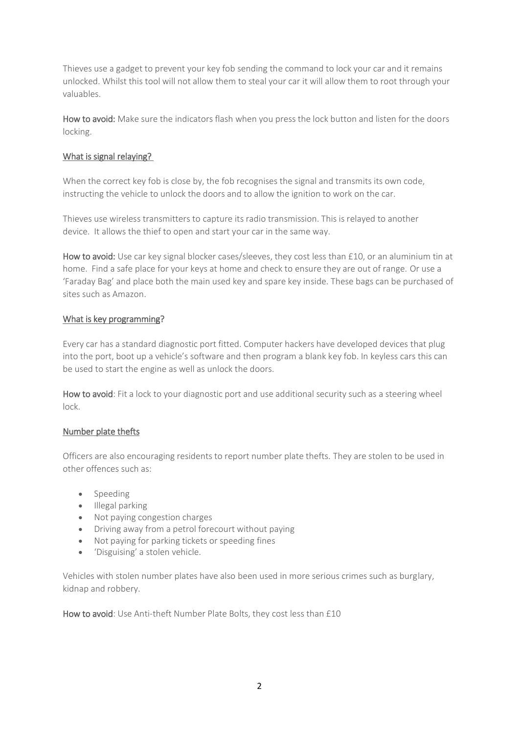Thieves use a gadget to prevent your key fob sending the command to lock your car and it remains unlocked. Whilst this tool will not allow them to steal your car it will allow them to root through your valuables.

How to avoid: Make sure the indicators flash when you press the lock button and listen for the doors locking.

# What is signal relaying?

When the correct key fob is close by, the fob recognises the signal and transmits its own code, instructing the vehicle to unlock the doors and to allow the ignition to work on the car.

Thieves use wireless transmitters to capture its radio transmission. This is relayed to another device. It allows the thief to open and start your car in the same way.

How to avoid: Use car key signal blocker cases/sleeves, they cost less than £10, or an aluminium tin at home. Find a safe place for your keys at home and check to ensure they are out of range. Or use a 'Faraday Bag' and place both the main used key and spare key inside. These bags can be purchased of sites such as Amazon.

## What is key programming?

Every car has a standard diagnostic port fitted. Computer hackers have developed devices that plug into the port, boot up a vehicle's software and then program a blank key fob. In keyless cars this can be used to start the engine as well as unlock the doors.

How to avoid: Fit a lock to your diagnostic port and use additional security such as a steering wheel lock.

## Number plate thefts

Officers are also encouraging residents to report number plate thefts. They are stolen to be used in other offences such as:

- Speeding
- Illegal parking
- Not paying congestion charges
- Driving away from a petrol forecourt without paying
- Not paying for parking tickets or speeding fines
- 'Disguising' a stolen vehicle.

Vehicles with stolen number plates have also been used in more serious crimes such as burglary, kidnap and robbery.

How to avoid: Use Anti-theft Number Plate Bolts, they cost less than £10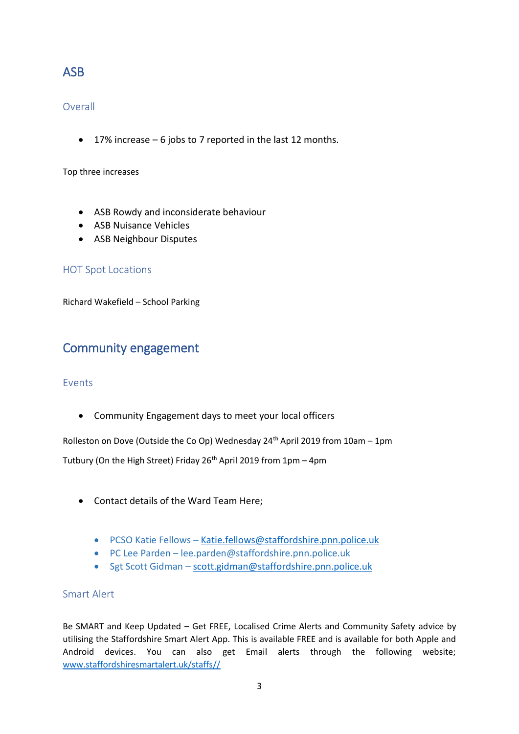# ASB

# Overall

• 17% increase – 6 jobs to 7 reported in the last 12 months.

Top three increases

- ASB Rowdy and inconsiderate behaviour
- ASB Nuisance Vehicles
- ASB Neighbour Disputes

# HOT Spot Locations

Richard Wakefield – School Parking

# Community engagement

## Events

• Community Engagement days to meet your local officers

Rolleston on Dove (Outside the Co Op) Wednesday  $24<sup>th</sup>$  April 2019 from 10am – 1pm

Tutbury (On the High Street) Friday  $26<sup>th</sup>$  April 2019 from 1pm – 4pm

- Contact details of the Ward Team Here;
	- PCSO Katie Fellows [Katie.fellows@staffordshire.pnn.police.uk](mailto:Katie.fellows@staffordshire.pnn.police.uk)
	- PC Lee Parden lee.parden@staffordshire.pnn.police.uk
	- Sgt Scott Gidman [scott.gidman@staffordshire.pnn.police.uk](mailto:scott.gidman@staffordshire.pnn.police.uk)

# Smart Alert

Be SMART and Keep Updated – Get FREE, Localised Crime Alerts and Community Safety advice by utilising the Staffordshire Smart Alert App. This is available FREE and is available for both Apple and Android devices. You can also get Email alerts through the following website; [www.staffordshiresmartalert.uk/staffs//](http://www.staffordshiresmartalert.uk/staffs/)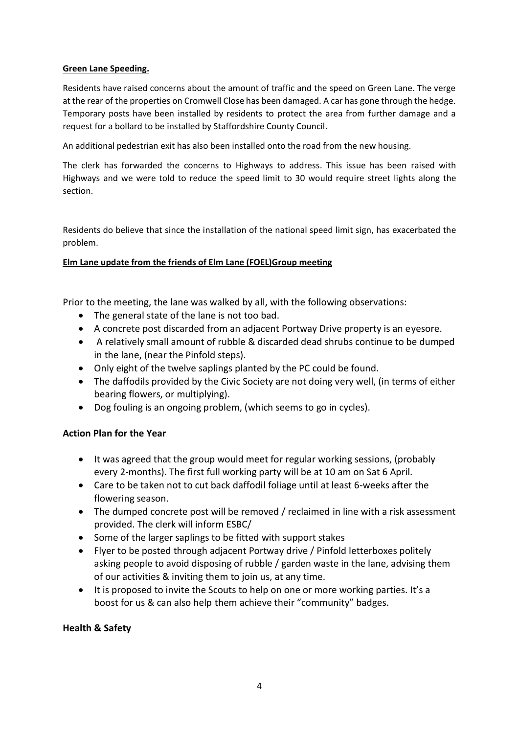## **Green Lane Speeding.**

Residents have raised concerns about the amount of traffic and the speed on Green Lane. The verge at the rear of the properties on Cromwell Close has been damaged. A car has gone through the hedge. Temporary posts have been installed by residents to protect the area from further damage and a request for a bollard to be installed by Staffordshire County Council.

An additional pedestrian exit has also been installed onto the road from the new housing.

The clerk has forwarded the concerns to Highways to address. This issue has been raised with Highways and we were told to reduce the speed limit to 30 would require street lights along the section.

Residents do believe that since the installation of the national speed limit sign, has exacerbated the problem.

## **Elm Lane update from the friends of Elm Lane (FOEL)Group meeting**

Prior to the meeting, the lane was walked by all, with the following observations:

- The general state of the lane is not too bad.
- A concrete post discarded from an adjacent Portway Drive property is an eyesore.
- A relatively small amount of rubble & discarded dead shrubs continue to be dumped in the lane, (near the Pinfold steps).
- Only eight of the twelve saplings planted by the PC could be found.
- The daffodils provided by the Civic Society are not doing very well, (in terms of either bearing flowers, or multiplying).
- Dog fouling is an ongoing problem, (which seems to go in cycles).

# **Action Plan for the Year**

- It was agreed that the group would meet for regular working sessions, (probably every 2-months). The first full working party will be at 10 am on Sat 6 April.
- Care to be taken not to cut back daffodil foliage until at least 6-weeks after the flowering season.
- The dumped concrete post will be removed / reclaimed in line with a risk assessment provided. The clerk will inform ESBC/
- Some of the larger saplings to be fitted with support stakes
- Flyer to be posted through adjacent Portway drive / Pinfold letterboxes politely asking people to avoid disposing of rubble / garden waste in the lane, advising them of our activities & inviting them to join us, at any time.
- It is proposed to invite the Scouts to help on one or more working parties. It's a boost for us & can also help them achieve their "community" badges.

# **Health & Safety**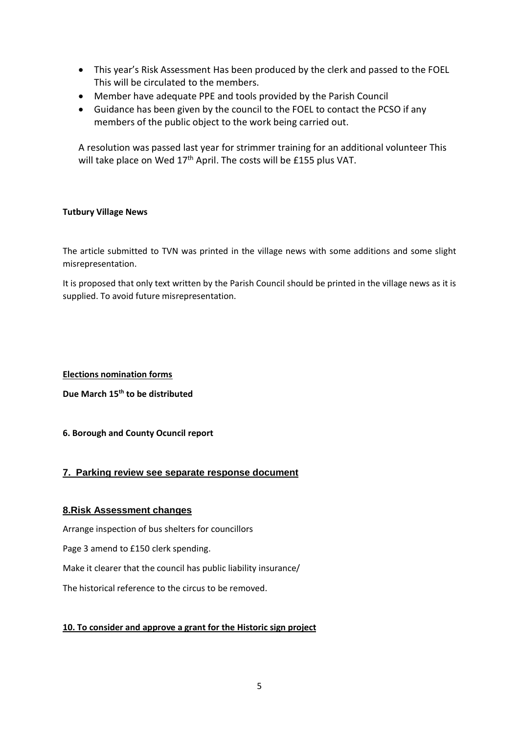- This year's Risk Assessment Has been produced by the clerk and passed to the FOEL This will be circulated to the members.
- Member have adequate PPE and tools provided by the Parish Council
- Guidance has been given by the council to the FOEL to contact the PCSO if any members of the public object to the work being carried out.

A resolution was passed last year for strimmer training for an additional volunteer This will take place on Wed 17<sup>th</sup> April. The costs will be £155 plus VAT.

#### **Tutbury Village News**

The article submitted to TVN was printed in the village news with some additions and some slight misrepresentation.

It is proposed that only text written by the Parish Council should be printed in the village news as it is supplied. To avoid future misrepresentation.

#### **Elections nomination forms**

**Due March 15th to be distributed**

## **6. Borough and County Ocuncil report**

## **7. Parking review see separate response document**

## **8.Risk Assessment changes**

Arrange inspection of bus shelters for councillors Page 3 amend to £150 clerk spending. Make it clearer that the council has public liability insurance/ The historical reference to the circus to be removed.

## **10. To consider and approve a grant for the Historic sign project**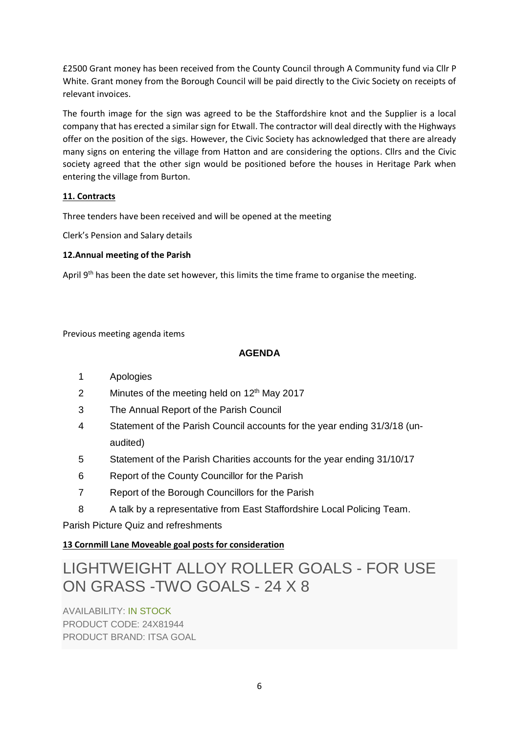£2500 Grant money has been received from the County Council through A Community fund via Cllr P White. Grant money from the Borough Council will be paid directly to the Civic Society on receipts of relevant invoices.

The fourth image for the sign was agreed to be the Staffordshire knot and the Supplier is a local company that has erected a similar sign for Etwall. The contractor will deal directly with the Highways offer on the position of the sigs. However, the Civic Society has acknowledged that there are already many signs on entering the village from Hatton and are considering the options. Cllrs and the Civic society agreed that the other sign would be positioned before the houses in Heritage Park when entering the village from Burton.

## **11. Contracts**

Three tenders have been received and will be opened at the meeting

Clerk's Pension and Salary details

## **12.Annual meeting of the Parish**

April 9<sup>th</sup> has been the date set however, this limits the time frame to organise the meeting.

## Previous meeting agenda items

# **AGENDA**

- 1 Apologies
- 2 Minutes of the meeting held on  $12<sup>th</sup>$  May 2017
- 3 The Annual Report of the Parish Council
- 4 Statement of the Parish Council accounts for the year ending 31/3/18 (unaudited)
- 5 Statement of the Parish Charities accounts for the year ending 31/10/17
- 6 Report of the County Councillor for the Parish
- 7 Report of the Borough Councillors for the Parish
- 8 A talk by a representative from East Staffordshire Local Policing Team.

Parish Picture Quiz and refreshments

# **13 Cornmill Lane Moveable goal posts for consideration**

# LIGHTWEIGHT ALLOY ROLLER GOALS - FOR USE ON GRASS -TWO GOALS - 24 X 8

AVAILABILITY: IN STOCK PRODUCT CODE: 24X81944 PRODUCT BRAND: ITSA GOAL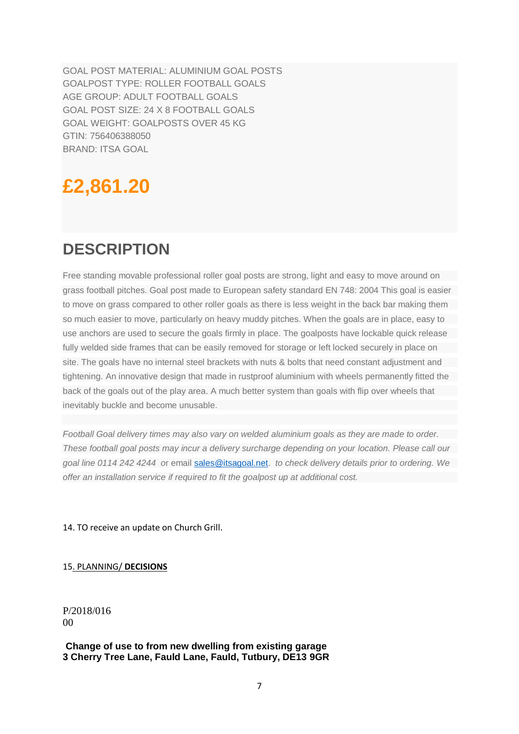GOAL POST MATERIAL: ALUMINIUM GOAL POSTS GOALPOST TYPE: ROLLER FOOTBALL GOALS AGE GROUP: ADULT FOOTBALL GOALS GOAL POST SIZE: 24 X 8 FOOTBALL GOALS GOAL WEIGHT: GOALPOSTS OVER 45 KG GTIN: 756406388050 BRAND: ITSA GOAL

# **£2,861.20**

# **DESCRIPTION**

Free standing movable professional roller goal posts are strong, light and easy to move around on grass football pitches. Goal post made to European safety standard EN 748: 2004 This goal is easier to move on grass compared to other roller goals as there is less weight in the back bar making them so much easier to move, particularly on heavy muddy pitches. When the goals are in place, easy to use anchors are used to secure the goals firmly in place. The goalposts have lockable quick release fully welded side frames that can be easily removed for storage or left locked securely in place on site. The goals have no internal steel brackets with nuts & bolts that need constant adjustment and tightening. An innovative design that made in rustproof aluminium with wheels permanently fitted the back of the goals out of the play area. A much better system than goals with flip over wheels that inevitably buckle and become unusable.

*Football Goal delivery times may also vary on welded aluminium goals as they are made to order. These football goal posts may incur a delivery surcharge depending on your location. Please call our goal line 0114 242 4244 o*r email [sales@itsagoal.net.](mailto:sales@itsagoal.net) *to check delivery details prior to ordering. We offer an installation service if required to fit the goalpost up at additional cost.*

14. TO receive an update on Church Grill.

15. PLANNING/ **DECISIONS**

P/2018/016 00

#### **Change of use to from new dwelling from existing garage 3 Cherry Tree Lane, Fauld Lane, Fauld, Tutbury, DE13 9GR**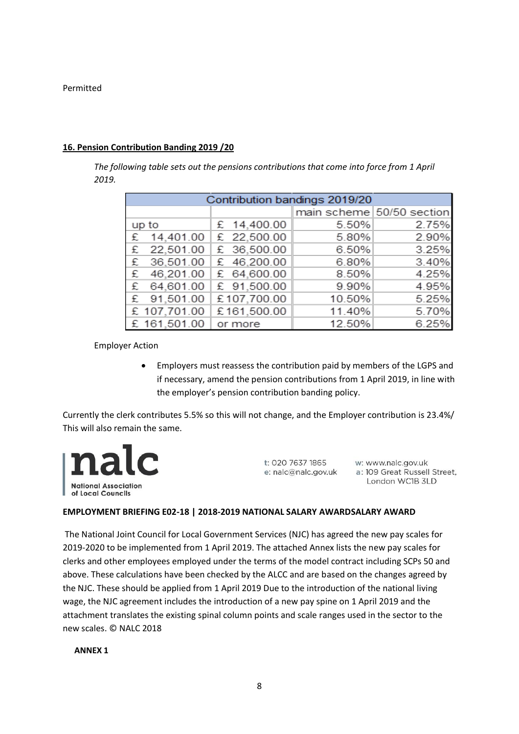Permitted

#### **16. Pension Contribution Banding 2019 /20**

*The following table sets out the pensions contributions that come into force from 1 April 2019.*

|       | Contribution bandings 2019/20 |             |        |                           |  |  |  |
|-------|-------------------------------|-------------|--------|---------------------------|--|--|--|
|       |                               |             |        | main scheme 50/50 section |  |  |  |
| up to |                               | £ 14,400.00 | 5.50%  | 2.75%                     |  |  |  |
| £     | 14,401.00                     | £ 22,500.00 | 5.80%  | 2.90%                     |  |  |  |
| £     | 22,501.00                     | £ 36,500.00 | 6.50%  | 3.25%                     |  |  |  |
| £     | 36,501.00                     | £ 46,200.00 | 6.80%  | 3.40%                     |  |  |  |
| £     | 46,201.00                     | £ 64,600.00 | 8.50%  | 4.25%                     |  |  |  |
| £     | 64,601.00                     | £ 91,500.00 | 9.90%  | 4.95%                     |  |  |  |
| £     | 91,501.00                     | £107,700.00 | 10.50% | 5.25%                     |  |  |  |
|       | £ 107,701.00                  | £161,500.00 | 11.40% | 5.70%                     |  |  |  |
|       | £ 161,501.00                  | or more     | 12.50% | 6.25%                     |  |  |  |

Employer Action

• Employers must reassess the contribution paid by members of the LGPS and if necessary, amend the pension contributions from 1 April 2019, in line with the employer's pension contribution banding policy.

Currently the clerk contributes 5.5% so this will not change, and the Employer contribution is 23.4%/ This will also remain the same.



t: 020 7637 1865

w: www.nalc.gov.uk e: nalc@nalc.gov.uk a: 109 Great Russell Street, London WC1B 3LD

#### **EMPLOYMENT BRIEFING E02-18 | 2018-2019 NATIONAL SALARY AWARDSALARY AWARD**

The National Joint Council for Local Government Services (NJC) has agreed the new pay scales for 2019-2020 to be implemented from 1 April 2019. The attached Annex lists the new pay scales for clerks and other employees employed under the terms of the model contract including SCPs 50 and above. These calculations have been checked by the ALCC and are based on the changes agreed by the NJC. These should be applied from 1 April 2019 Due to the introduction of the national living wage, the NJC agreement includes the introduction of a new pay spine on 1 April 2019 and the attachment translates the existing spinal column points and scale ranges used in the sector to the new scales. © NALC 2018

**ANNEX 1**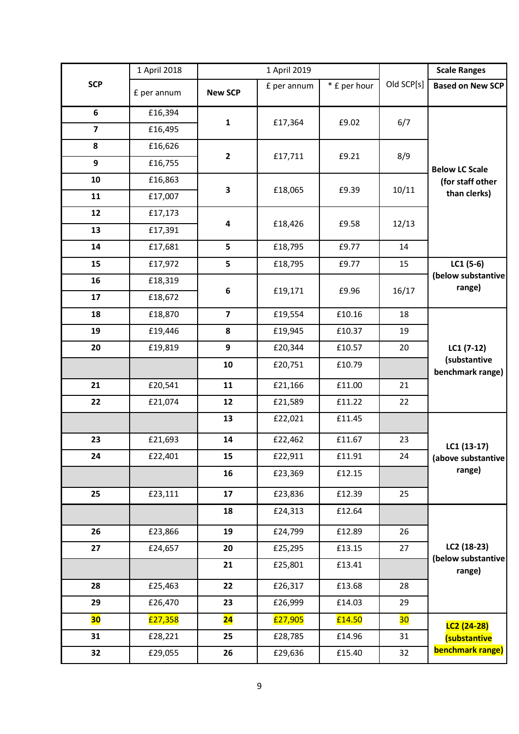|                         | 1 April 2018 | 1 April 2019             |             |              |            | <b>Scale Ranges</b>                                       |
|-------------------------|--------------|--------------------------|-------------|--------------|------------|-----------------------------------------------------------|
| <b>SCP</b>              | £ per annum  | <b>New SCP</b>           | £ per annum | * £ per hour | Old SCP[s] | <b>Based on New SCP</b>                                   |
| 6                       | £16,394      |                          |             |              |            |                                                           |
| $\overline{\mathbf{z}}$ | £16,495      | $\mathbf{1}$             | £17,364     | £9.02        | 6/7        | <b>Below LC Scale</b><br>(for staff other<br>than clerks) |
| 8                       | £16,626      |                          |             |              |            |                                                           |
| 9                       | £16,755      | $\mathbf{2}$             | £17,711     | £9.21        | 8/9        |                                                           |
| 10                      | £16,863      |                          |             |              |            |                                                           |
| 11                      | £17,007      | 3                        | £18,065     | £9.39        | 10/11      |                                                           |
| 12                      | £17,173      |                          |             |              |            |                                                           |
| 13                      | £17,391      | 4                        | £18,426     | £9.58        | 12/13      |                                                           |
| 14                      | £17,681      | 5                        | £18,795     | £9.77        | 14         |                                                           |
| 15                      | £17,972      | 5                        | £18,795     | £9.77        | 15         | $LC1(5-6)$<br>(below substantive<br>range)                |
| 16                      | £18,319      |                          |             |              |            |                                                           |
| 17                      | £18,672      | 6                        | £19,171     | £9.96        | 16/17      |                                                           |
| 18                      | £18,870      | $\overline{\mathbf{z}}$  | £19,554     | £10.16       | 18         | $LC1(7-12)$<br>(substantive<br>benchmark range)           |
| 19                      | £19,446      | 8                        | £19,945     | £10.37       | 19         |                                                           |
| 20                      | £19,819      | 9                        | £20,344     | £10.57       | 20         |                                                           |
|                         |              | 10                       | £20,751     | £10.79       |            |                                                           |
| 21                      | £20,541      | 11                       | £21,166     | £11.00       | 21         |                                                           |
| 22                      | £21,074      | 12                       | £21,589     | £11.22       | 22         |                                                           |
|                         |              | 13                       | £22,021     | £11.45       |            | LC1 (13-17)<br>(above substantive<br>range)               |
| 23                      | £21,693      | 14                       | £22,462     | £11.67       | 23         |                                                           |
| 24                      | £22,401      | 15                       | £22,911     | £11.91       | 24         |                                                           |
|                         |              | 16                       | £23,369     | £12.15       |            |                                                           |
| 25                      | £23,111      | 17                       | £23,836     | £12.39       | 25         |                                                           |
|                         |              | 18                       | £24,313     | £12.64       |            | LC2 (18-23)<br>(below substantive<br>range)               |
| 26                      | £23,866      | 19                       | £24,799     | £12.89       | 26         |                                                           |
| 27                      | £24,657      | 20                       | £25,295     | £13.15       | 27         |                                                           |
|                         |              | 21                       | £25,801     | £13.41       |            |                                                           |
| 28                      | £25,463      | 22                       | £26,317     | £13.68       | 28         |                                                           |
| 29                      | £26,470      | 23                       | £26,999     | £14.03       | 29         |                                                           |
| 30                      | £27,358      | $\overline{\mathbf{24}}$ | £27,905     | £14.50       | 30         | LC2 (24-28)<br>(substantive<br><b>benchmark range)</b>    |
| 31                      | £28,221      | 25                       | £28,785     | £14.96       | 31         |                                                           |
| 32                      | £29,055      | 26                       | £29,636     | £15.40       | 32         |                                                           |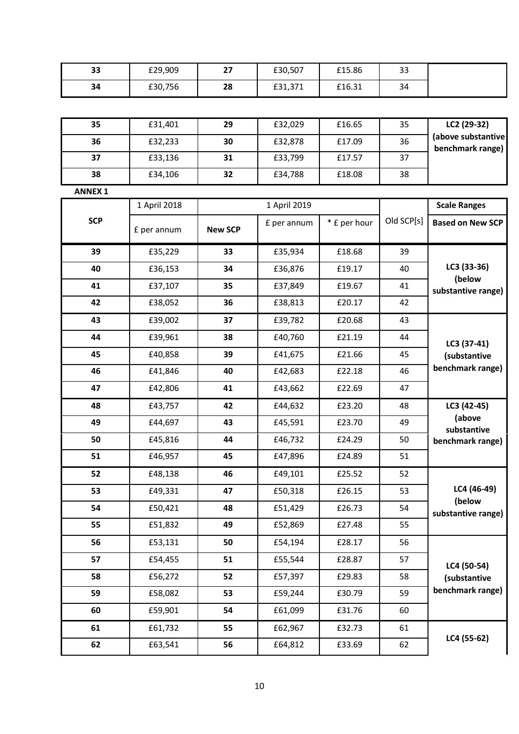| 33             | £29,909      | 27             | £30,507      | £15.86       | 33         |                                                 |  |  |
|----------------|--------------|----------------|--------------|--------------|------------|-------------------------------------------------|--|--|
| 34             | £30,756      | 28             | £31,371      | £16.31       | 34         |                                                 |  |  |
|                |              |                |              |              |            |                                                 |  |  |
| 35             | £31,401      | 29             | £32,029      | £16.65       | 35         | LC2 (29-32)                                     |  |  |
| 36             | £32,233      | 30             | £32,878      | £17.09       | 36         | (above substantive<br>benchmark range)          |  |  |
| 37             | £33,136      | 31             | £33,799      | £17.57       | 37         |                                                 |  |  |
| 38             | £34,106      | 32             | £34,788      | £18.08       | 38         |                                                 |  |  |
| <b>ANNEX 1</b> |              |                |              |              |            |                                                 |  |  |
|                | 1 April 2018 |                | 1 April 2019 |              |            | <b>Scale Ranges</b>                             |  |  |
| <b>SCP</b>     | £ per annum  | <b>New SCP</b> | £ per annum  | * £ per hour | Old SCP[s] | <b>Based on New SCP</b>                         |  |  |
| 39             | £35,229      | 33             | £35,934      | £18.68       | 39         |                                                 |  |  |
| 40             | £36,153      | 34             | £36,876      | £19.17       | 40         | LC3 (33-36)                                     |  |  |
| 41             | £37,107      | 35             | £37,849      | £19.67       | 41         | (below<br>substantive range)                    |  |  |
| 42             | £38,052      | 36             | £38,813      | £20.17       | 42         |                                                 |  |  |
| 43             | £39,002      | 37             | £39,782      | £20.68       | 43         | LC3 (37-41)<br>(substantive<br>benchmark range) |  |  |
| 44             | £39,961      | 38             | £40,760      | £21.19       | 44         |                                                 |  |  |
| 45             | £40,858      | 39             | £41,675      | £21.66       | 45         |                                                 |  |  |
| 46             | £41,846      | 40             | £42,683      | £22.18       | 46         |                                                 |  |  |
| 47             | £42,806      | 41             | £43,662      | £22.69       | 47         |                                                 |  |  |
| 48             | £43,757      | 42             | £44,632      | £23.20       | 48         | LC3 (42-45)                                     |  |  |
| 49             | £44,697      | 43             | £45,591      | £23.70       | 49         | (above<br>substantive<br>benchmark range)       |  |  |
| 50             | £45,816      | 44             | £46,732      | £24.29       | 50         |                                                 |  |  |
| 51             | £46,957      | 45             | £47,896      | £24.89       | 51         |                                                 |  |  |
| 52             | £48,138      | 46             | £49,101      | £25.52       | 52         |                                                 |  |  |
| 53             | £49,331      | 47             | £50,318      | £26.15       | 53         | LC4 (46-49)<br>(below<br>substantive range)     |  |  |
| 54             | £50,421      | 48             | £51,429      | £26.73       | 54         |                                                 |  |  |
| 55             | £51,832      | 49             | £52,869      | £27.48       | 55         |                                                 |  |  |
| 56             | £53,131      | 50             | £54,194      | £28.17       | 56         |                                                 |  |  |
| 57             | £54,455      | 51             | £55,544      | £28.87       | 57         | LC4 (50-54)<br>(substantive<br>benchmark range) |  |  |
| 58             | £56,272      | 52             | £57,397      | £29.83       | 58         |                                                 |  |  |
| 59             | £58,082      | 53             | £59,244      | £30.79       | 59         |                                                 |  |  |
| 60             | £59,901      | 54             | £61,099      | £31.76       | 60         |                                                 |  |  |
| 61             | £61,732      | 55             | £62,967      | £32.73       | 61         | LC4 (55-62)                                     |  |  |
| 62             | £63,541      | 56             | £64,812      | £33.69       | 62         |                                                 |  |  |